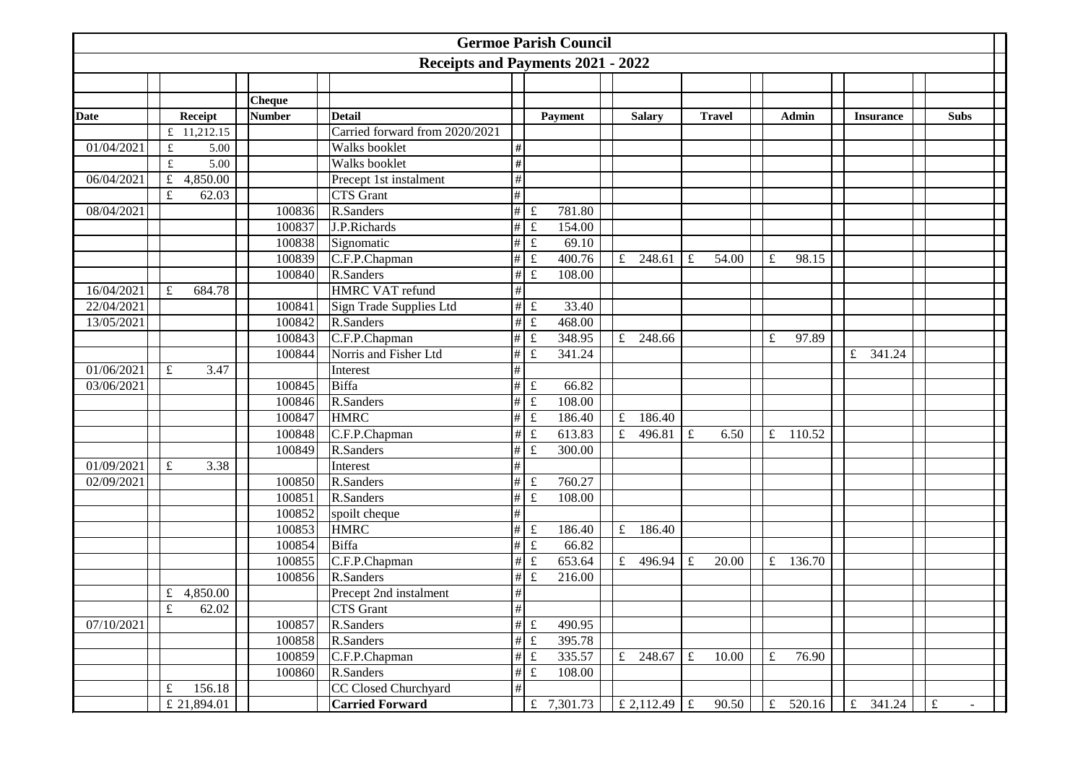|             |                |               |               |                                   |                 | <b>Germoe Parish Council</b>      |             |                |             |               |             |                   |                       |           |             |
|-------------|----------------|---------------|---------------|-----------------------------------|-----------------|-----------------------------------|-------------|----------------|-------------|---------------|-------------|-------------------|-----------------------|-----------|-------------|
|             |                |               |               | Receipts and Payments 2021 - 2022 |                 |                                   |             |                |             |               |             |                   |                       |           |             |
|             |                |               |               |                                   |                 |                                   |             |                |             |               |             |                   |                       |           |             |
|             |                |               | <b>Cheque</b> |                                   |                 |                                   |             |                |             |               |             |                   |                       |           |             |
| <b>Date</b> |                | Receipt       | <b>Number</b> | <b>Detail</b>                     |                 | Payment                           |             | <b>Salary</b>  |             | <b>Travel</b> |             | Admin             | <b>Insurance</b>      |           | <b>Subs</b> |
|             |                | £ $11,212.15$ |               | Carried forward from 2020/2021    |                 |                                   |             |                |             |               |             |                   |                       |           |             |
| 01/04/2021  | $\pounds$      | 5.00          |               | Walks booklet                     | $\#$            |                                   |             |                |             |               |             |                   |                       |           |             |
|             | $\pounds$      | 5.00          |               | Walks booklet                     | $\#$            |                                   |             |                |             |               |             |                   |                       |           |             |
| 06/04/2021  | $\mathbf f$    | 4,850.00      |               | Precept 1st instalment            | $\#$            |                                   |             |                |             |               |             |                   |                       |           |             |
|             | $\pounds$      | 62.03         |               | <b>CTS</b> Grant                  | $\#$            |                                   |             |                |             |               |             |                   |                       |           |             |
| 08/04/2021  |                |               | 100836        | R.Sanders                         | $\overline{\#}$ | $\pounds$<br>781.80               |             |                |             |               |             |                   |                       |           |             |
|             |                |               | 100837        | J.P.Richards                      | $\#$            | $\pounds$<br>154.00               |             |                |             |               |             |                   |                       |           |             |
|             |                |               | 100838        | Signomatic                        | $\#$            | $\pounds$<br>69.10                |             |                |             |               |             |                   |                       |           |             |
|             |                |               | 100839        | C.F.P.Chapman                     | $\#$            | $\pounds$<br>400.76               |             | £ 248.61       | $\mathbf f$ | 54.00         | £           | 98.15             |                       |           |             |
|             |                |               | 100840        | R.Sanders                         | $\#$            | $\pounds$<br>108.00               |             |                |             |               |             |                   |                       |           |             |
| 16/04/2021  | $\mathbf f$    | 684.78        |               | <b>HMRC VAT refund</b>            | $\#$            |                                   |             |                |             |               |             |                   |                       |           |             |
| 22/04/2021  |                |               | 100841        | Sign Trade Supplies Ltd           | $\#$            | 33.40<br>$\pounds$                |             |                |             |               |             |                   |                       |           |             |
| 13/05/2021  |                |               | 100842        | R.Sanders                         | $\#$            | $\pounds$<br>468.00               |             |                |             |               |             |                   |                       |           |             |
|             |                |               | 100843        | C.F.P.Chapman                     | #               | $\pounds$<br>348.95               | $\mathbf f$ | 248.66         |             |               | £           | 97.89             |                       |           |             |
|             |                |               | 100844        | Norris and Fisher Ltd             | $\#$            | $\pounds$<br>341.24               |             |                |             |               |             |                   | $\mathbf f$<br>341.24 |           |             |
| 01/06/2021  | $\pounds$      | 3.47          |               | Interest                          | $\#$            |                                   |             |                |             |               |             |                   |                       |           |             |
| 03/06/2021  |                |               | 100845        | Biffa                             | $\#$            | $\pounds$<br>66.82                |             |                |             |               |             |                   |                       |           |             |
|             |                |               | 100846        | R.Sanders                         | $\#$            | $\pounds$<br>108.00               |             |                |             |               |             |                   |                       |           |             |
|             |                |               | 100847        | <b>HMRC</b>                       | $\#$            | $\pounds$<br>186.40               | $\pounds$   | 186.40         |             |               |             |                   |                       |           |             |
|             |                |               | 100848        | C.F.P.Chapman                     | #               | $\pounds$<br>613.83               | $\pounds$   | 496.81         | $\pounds$   | 6.50          | $\pounds$   | 110.52            |                       |           |             |
|             |                |               | 100849        | R.Sanders                         | #               | $\pounds$<br>300.00               |             |                |             |               |             |                   |                       |           |             |
| 01/09/2021  | $\pounds$      | 3.38          |               | Interest                          | $\#$            |                                   |             |                |             |               |             |                   |                       |           |             |
| 02/09/2021  |                |               | 100850        | R.Sanders                         | $\#$            | $\pounds$<br>760.27               |             |                |             |               |             |                   |                       |           |             |
|             |                |               | 100851        | R.Sanders                         | #               | $\pounds$<br>108.00               |             |                |             |               |             |                   |                       |           |             |
|             |                |               | 100852        | spoilt cheque                     | $\#$            |                                   |             |                |             |               |             |                   |                       |           |             |
|             |                |               | 100853        | <b>HMRC</b>                       | #               | $\pounds$<br>186.40               |             | £ 186.40       |             |               |             |                   |                       |           |             |
|             |                |               | 100854        | <b>Biffa</b>                      | #               | $\pounds$<br>66.82                |             |                |             |               |             |                   |                       |           |             |
|             |                |               | 100855        | C.F.P.Chapman                     | $\#$            | $\pounds$<br>653.64               | f           | 496.94         | $\mathbf f$ | 20.00         | $\mathbf f$ | 136.70            |                       |           |             |
|             |                |               | 100856        | R.Sanders                         | $\#$            | $\pounds$<br>216.00               |             |                |             |               |             |                   |                       |           |             |
|             |                | £ 4,850.00    |               | Precept 2nd instalment            | $\#$            |                                   |             |                |             |               |             |                   |                       |           |             |
|             | $\overline{f}$ | 62.02         |               | CTS Grant                         | $\overline{\#}$ |                                   |             |                |             |               |             |                   |                       |           |             |
| 07/10/2021  |                |               | 100857        | R.Sanders                         |                 | $\overline{\#}$ £<br>490.95       |             |                |             |               |             |                   |                       |           |             |
|             |                |               | 100858        | R.Sanders                         | #               | $\pounds$<br>395.78               |             |                |             |               |             |                   |                       |           |             |
|             |                |               | 100859        | C.F.P.Chapman                     | #               | $\overline{\mathbf{f}}$<br>335.57 |             | £ 248.67       | $\pounds$   | 10.00         | $\pounds$   | $\frac{1}{76.90}$ |                       |           |             |
|             |                |               | 100860        | R.Sanders                         | $\#$            | $\pounds$<br>108.00               |             |                |             |               |             |                   |                       |           |             |
|             | £              | 156.18        |               | CC Closed Churchyard              | $\#$            |                                   |             |                |             |               |             |                   |                       |           |             |
|             |                | £ 21,894.01   |               | <b>Carried Forward</b>            |                 | £ $7,301.73$                      |             | £ 2,112.49   £ |             | 90.50         | f           | 520.16            | f<br>341.24           | $\pounds$ |             |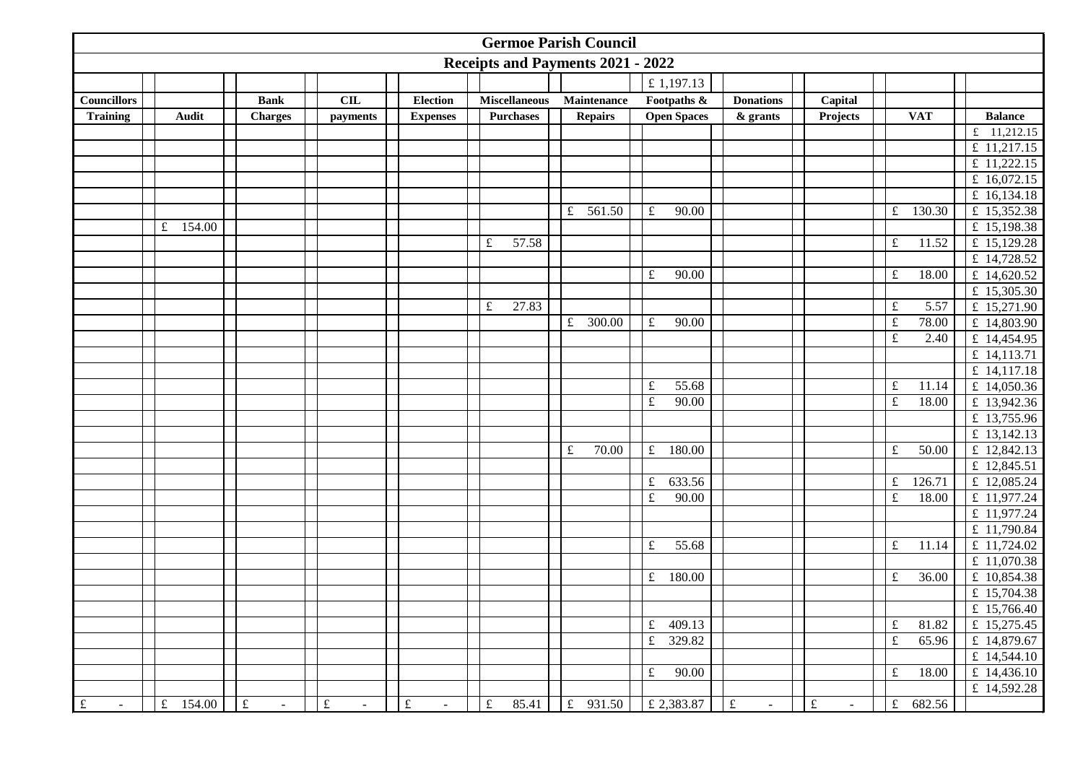| <b>Germoe Parish Council</b> |              |                     |                             |                     |                                   |                       |                       |                     |                             |                         |                                 |  |
|------------------------------|--------------|---------------------|-----------------------------|---------------------|-----------------------------------|-----------------------|-----------------------|---------------------|-----------------------------|-------------------------|---------------------------------|--|
|                              |              |                     |                             |                     | Receipts and Payments 2021 - 2022 |                       |                       |                     |                             |                         |                                 |  |
|                              |              |                     |                             |                     |                                   |                       | £1,197.13             |                     |                             |                         |                                 |  |
| <b>Councillors</b>           |              | <b>Bank</b>         | CL                          | <b>Election</b>     | <b>Miscellaneous</b>              | Maintenance           | Footpaths &           | <b>Donations</b>    | Capital                     |                         |                                 |  |
| <b>Training</b>              | <b>Audit</b> | <b>Charges</b>      | payments                    | <b>Expenses</b>     | <b>Purchases</b>                  | <b>Repairs</b>        | <b>Open Spaces</b>    | $&$ grants          | Projects                    | <b>VAT</b>              | <b>Balance</b>                  |  |
|                              |              |                     |                             |                     |                                   |                       |                       |                     |                             |                         | $\overline{\text{£}}$ 11,212.15 |  |
|                              |              |                     |                             |                     |                                   |                       |                       |                     |                             |                         | £ 11,217.15                     |  |
|                              |              |                     |                             |                     |                                   |                       |                       |                     |                             |                         | £ $11,222.15$                   |  |
|                              |              |                     |                             |                     |                                   |                       |                       |                     |                             |                         | £ 16,072.15                     |  |
|                              |              |                     |                             |                     |                                   |                       |                       |                     |                             |                         | £ $16,134.18$                   |  |
|                              |              |                     |                             |                     |                                   | £ $561.50$            | $\pounds$<br>90.00    |                     |                             | 130.30<br>$\pounds$     | £ 15,352.38                     |  |
|                              | £ $154.00$   |                     |                             |                     |                                   |                       |                       |                     |                             |                         | £ 15,198.38                     |  |
|                              |              |                     |                             |                     | 57.58<br>$\pounds$                |                       |                       |                     |                             | 11.52<br>£              | £ $15,129.28$                   |  |
|                              |              |                     |                             |                     |                                   |                       |                       |                     |                             |                         | £ 14,728.52                     |  |
|                              |              |                     |                             |                     |                                   |                       | $\pounds$<br>90.00    |                     |                             | $\pounds$<br>18.00      | £ 14,620.52                     |  |
|                              |              |                     |                             |                     |                                   |                       |                       |                     |                             |                         | £ 15,305.30                     |  |
|                              |              |                     |                             |                     | $\pounds$<br>27.83                |                       |                       |                     |                             | $\pounds$<br>5.57       | £ 15,271.90                     |  |
|                              |              |                     |                             |                     |                                   | £<br>300.00           | $\pounds$<br>90.00    |                     |                             | $\pounds$<br>78.00      | £ 14,803.90                     |  |
|                              |              |                     |                             |                     |                                   |                       |                       |                     |                             | $\mathfrak{t}$<br>2.40  | £ 14,454.95                     |  |
|                              |              |                     |                             |                     |                                   |                       |                       |                     |                             |                         | £ 14,113.71                     |  |
|                              |              |                     |                             |                     |                                   |                       |                       |                     |                             |                         | £ $14,117.18$                   |  |
|                              |              |                     |                             |                     |                                   |                       | 55.68<br>$\pounds$    |                     |                             | $\pounds$<br>11.14      | £ 14,050.36                     |  |
|                              |              |                     |                             |                     |                                   |                       | $\pounds$<br>90.00    |                     |                             | $\pounds$<br>18.00      | £ 13,942.36                     |  |
|                              |              |                     |                             |                     |                                   |                       |                       |                     |                             |                         | £ 13,755.96                     |  |
|                              |              |                     |                             |                     |                                   |                       |                       |                     |                             |                         | £ 13,142.13                     |  |
|                              |              |                     |                             |                     |                                   | 70.00<br>$\pounds$    | £ $180.00$            |                     |                             | $\pounds$<br>50.00      | £ 12,842.13                     |  |
|                              |              |                     |                             |                     |                                   |                       |                       |                     |                             |                         | £ 12,845.51                     |  |
|                              |              |                     |                             |                     |                                   |                       | 633.56<br>$\pounds$   |                     |                             | 126.71<br>$\pounds$     | £ 12,085.24                     |  |
|                              |              |                     |                             |                     |                                   |                       | $\pounds$<br>90.00    |                     |                             | $\pounds$<br>18.00      | £ 11,977.24                     |  |
|                              |              |                     |                             |                     |                                   |                       |                       |                     |                             |                         | £ 11,977.24                     |  |
|                              |              |                     |                             |                     |                                   |                       |                       |                     |                             |                         | £ 11,790.84                     |  |
|                              |              |                     |                             |                     |                                   |                       | 55.68<br>£            |                     |                             | $\pounds$<br>11.14      | £ 11,724.02                     |  |
|                              |              |                     |                             |                     |                                   |                       |                       |                     |                             |                         | £ 11,070.38                     |  |
|                              |              |                     |                             |                     |                                   |                       | 180.00<br>$\mathbf f$ |                     |                             | $\pounds$<br>36.00      | £ 10,854.38                     |  |
|                              |              |                     |                             |                     |                                   |                       |                       |                     |                             |                         | £ 15,704.38                     |  |
|                              |              |                     |                             |                     |                                   |                       |                       |                     |                             |                         | £ 15,766.40                     |  |
|                              |              |                     |                             |                     |                                   |                       | £ 409.13              |                     |                             | $\mathfrak{t}$<br>81.82 | £ 15,275.45                     |  |
|                              |              |                     |                             |                     |                                   |                       | £ 329.82              |                     |                             | $\pounds$<br>65.96      | £ 14,879.67                     |  |
|                              |              |                     |                             |                     |                                   |                       |                       |                     |                             |                         | £ 14,544.10                     |  |
|                              |              |                     |                             |                     |                                   |                       | $\pounds$<br>90.00    |                     |                             | $\pounds$<br>18.00      | £ $14,436.10$                   |  |
|                              |              |                     |                             |                     |                                   |                       |                       |                     |                             |                         | £ 14,592.28                     |  |
| $\pounds$<br>$\sim$          | £ $154.00$   | $\pounds$<br>$\sim$ | $\pounds$<br>$\blacksquare$ | $\pounds$<br>$\sim$ | $\pounds$<br>85.41                | $\mathbf f$<br>931.50 | £ 2,383.87            | $\pounds$<br>$\sim$ | $\pounds$<br>$\blacksquare$ | $\pounds$<br>682.56     |                                 |  |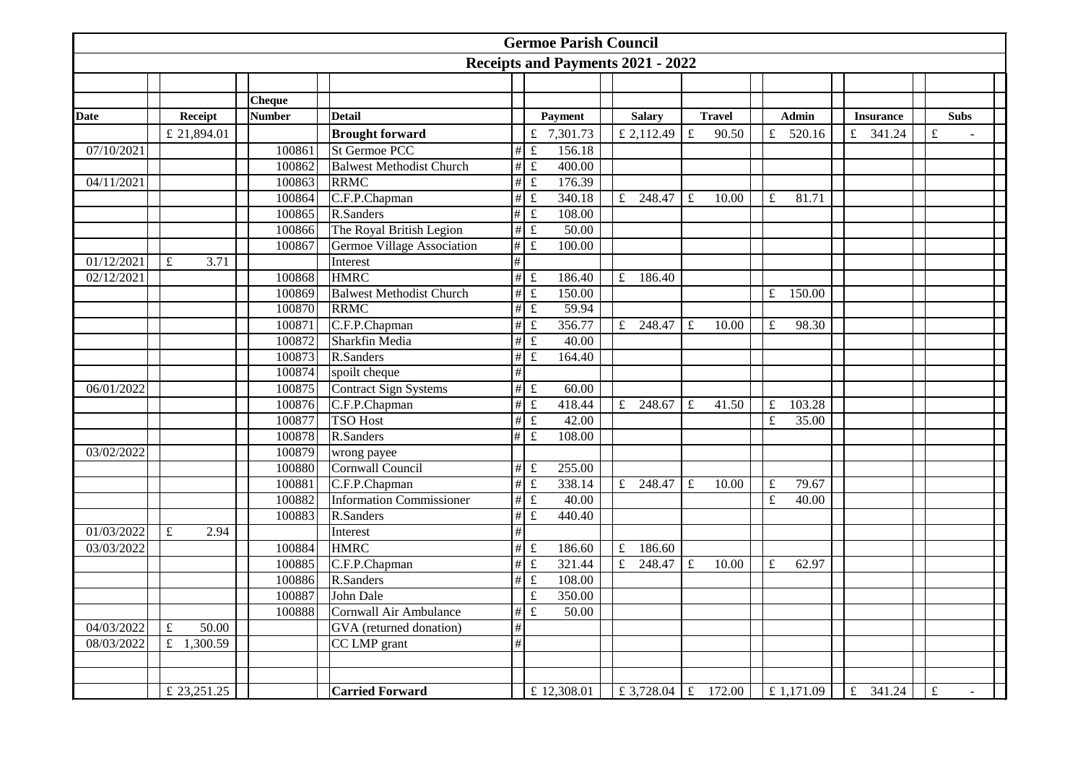|             |                         |               |                                 |                 | <b>Germoe Parish Council</b>      |                |               |             |               |             |              |           |                  |           |              |  |
|-------------|-------------------------|---------------|---------------------------------|-----------------|-----------------------------------|----------------|---------------|-------------|---------------|-------------|--------------|-----------|------------------|-----------|--------------|--|
|             |                         |               |                                 |                 | Receipts and Payments 2021 - 2022 |                |               |             |               |             |              |           |                  |           |              |  |
|             |                         |               |                                 |                 |                                   |                |               |             |               |             |              |           |                  |           |              |  |
|             |                         | <b>Cheque</b> |                                 |                 |                                   |                |               |             |               |             |              |           |                  |           |              |  |
| <b>Date</b> | Receipt                 | <b>Number</b> | <b>Detail</b>                   |                 | Payment                           |                | <b>Salary</b> |             | <b>Travel</b> |             | <b>Admin</b> |           | <b>Insurance</b> |           | <b>Subs</b>  |  |
|             | £ 21,894.01             |               | <b>Brought forward</b>          |                 | £ 7,301.73                        |                | £ 2,112.49    | £           | 90.50         | £           | 520.16       |           | £ 341.24         | £         |              |  |
| 07/10/2021  |                         | 100861        | <b>St Germoe PCC</b>            | $\#$            | $\pounds$<br>156.18               |                |               |             |               |             |              |           |                  |           |              |  |
|             |                         | 100862        | <b>Balwest Methodist Church</b> | $\#$            | $\overline{\texttt{f}}$<br>400.00 |                |               |             |               |             |              |           |                  |           |              |  |
| 04/11/2021  |                         | 100863        | <b>RRMC</b>                     | $\#$            | $\overline{\texttt{f}}$<br>176.39 |                |               |             |               |             |              |           |                  |           |              |  |
|             |                         | 100864        | C.F.P.Chapman                   | $\#$            | $\pounds$<br>340.18               | f              | 248.47        | $\mathbf f$ | 10.00         | $\pounds$   | 81.71        |           |                  |           |              |  |
|             |                         | 100865        | R.Sanders                       | $\overline{\#}$ | $\mathbf f$<br>108.00             |                |               |             |               |             |              |           |                  |           |              |  |
|             |                         | 100866        | The Royal British Legion        | $\#$            | $\pounds$<br>50.00                |                |               |             |               |             |              |           |                  |           |              |  |
|             |                         | 100867        | Germoe Village Association      | $\#$            | $\pounds$<br>100.00               |                |               |             |               |             |              |           |                  |           |              |  |
| 01/12/2021  | $\pounds$<br>3.71       |               | Interest                        | #               |                                   |                |               |             |               |             |              |           |                  |           |              |  |
| 02/12/2021  |                         | 100868        | <b>HMRC</b>                     | $\#$            | $\pounds$<br>186.40               |                | f<br>186.40   |             |               |             |              |           |                  |           |              |  |
|             |                         | 100869        | <b>Balwest Methodist Church</b> | $\#$            | $\pounds$<br>150.00               |                |               |             |               | $\mathbf f$ | 150.00       |           |                  |           |              |  |
|             |                         | 100870        | <b>RRMC</b>                     | #               | $\mathfrak{t}$<br>59.94           |                |               |             |               |             |              |           |                  |           |              |  |
|             |                         | 100871        | C.F.P.Chapman                   | #               | $\pounds$<br>356.77               |                | £ 248.47      | £           | 10.00         | $\pounds$   | 98.30        |           |                  |           |              |  |
|             |                         | 100872        | Sharkfin Media                  | $\#$            | $\pounds$<br>40.00                |                |               |             |               |             |              |           |                  |           |              |  |
|             |                         | 100873        | R.Sanders                       | $\#$            | $\pounds$<br>164.40               |                |               |             |               |             |              |           |                  |           |              |  |
|             |                         | 100874        | spoilt cheque                   | #               |                                   |                |               |             |               |             |              |           |                  |           |              |  |
| 06/01/2022  |                         | 100875        | <b>Contract Sign Systems</b>    | #               | $\pounds$<br>60.00                |                |               |             |               |             |              |           |                  |           |              |  |
|             |                         | 100876        | C.F.P.Chapman                   | #               | $\pounds$<br>418.44               |                | £ 248.67      | $\pounds$   | 41.50         | $\pounds$   | 103.28       |           |                  |           |              |  |
|             |                         | 100877        | <b>TSO Host</b>                 | $\#$            | $\pounds$<br>42.00                |                |               |             |               | £           | 35.00        |           |                  |           |              |  |
|             |                         | 100878        | R.Sanders                       | #               | $\pounds$<br>108.00               |                |               |             |               |             |              |           |                  |           |              |  |
| 03/02/2022  |                         | 100879        | wrong payee                     |                 |                                   |                |               |             |               |             |              |           |                  |           |              |  |
|             |                         | 100880        | Cornwall Council                | #               | $\pounds$<br>255.00               |                |               |             |               |             |              |           |                  |           |              |  |
|             |                         | 100881        | C.F.P.Chapman                   | #               | $\overline{\mathbf{f}}$<br>338.14 |                | £ $248.47$    | $\mathbf f$ | 10.00         | $\pounds$   | 79.67        |           |                  |           |              |  |
|             |                         | 100882        | <b>Information Commissioner</b> | $\#$            | $\pounds$<br>40.00                |                |               |             |               | $\pounds$   | 40.00        |           |                  |           |              |  |
|             |                         | 100883        | R.Sanders                       | $\#$            | $\pounds$<br>440.40               |                |               |             |               |             |              |           |                  |           |              |  |
| 01/03/2022  | $\mathbf f$<br>2.94     |               | Interest                        | $\#$            |                                   |                |               |             |               |             |              |           |                  |           |              |  |
| 03/03/2022  |                         | 100884        | <b>HMRC</b>                     | #               | $\pounds$<br>186.60               | $\pounds$      | 186.60        |             |               |             |              |           |                  |           |              |  |
|             |                         | 100885        | C.F.P.Chapman                   | #               | $\pounds$<br>321.44               | $\overline{f}$ | 248.47        | £           | 10.00         | £           | 62.97        |           |                  |           |              |  |
|             |                         | 100886        | R.Sanders                       | #               | $\pounds$<br>108.00               |                |               |             |               |             |              |           |                  |           |              |  |
|             |                         | 100887        | John Dale                       |                 | $\overline{f}$<br>350.00          |                |               |             |               |             |              |           |                  |           |              |  |
|             |                         | 100888        | Cornwall Air Ambulance          | #               | $\mathfrak{t}$<br>50.00           |                |               |             |               |             |              |           |                  |           |              |  |
| 04/03/2022  | 50.00<br>$\pounds$      |               | GVA (returned donation)         | $\overline{\#}$ |                                   |                |               |             |               |             |              |           |                  |           |              |  |
| 08/03/2022  | $\overline{t}$ 1,300.59 |               | CC LMP grant                    | $\#$            |                                   |                |               |             |               |             |              |           |                  |           |              |  |
|             |                         |               |                                 |                 |                                   |                |               |             |               |             |              |           |                  |           |              |  |
|             |                         |               |                                 |                 |                                   |                |               |             |               |             |              |           |                  |           |              |  |
|             | £ 23,251.25             |               | <b>Carried Forward</b>          |                 | £ 12,308.01                       |                | £ 3,728.04    | $\pounds$   | 172.00        |             | £ 1,171.09   | $\pounds$ | 341.24           | $\pounds$ | $\mathbf{r}$ |  |